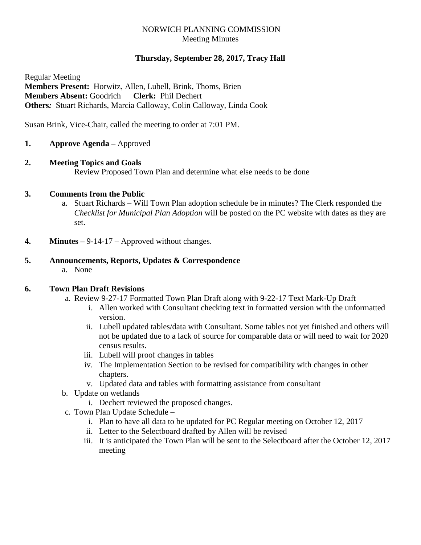# NORWICH PLANNING COMMISSION Meeting Minutes

# **Thursday, September 28, 2017, Tracy Hall**

Regular Meeting **Members Present:** Horwitz, Allen, Lubell, Brink, Thoms, Brien **Members Absent:** Goodrich **Clerk:** Phil Dechert **Others***:* Stuart Richards, Marcia Calloway, Colin Calloway, Linda Cook

Susan Brink, Vice-Chair, called the meeting to order at 7:01 PM.

- **1. Approve Agenda –** Approved
- **2. Meeting Topics and Goals**

Review Proposed Town Plan and determine what else needs to be done

### **3. Comments from the Public**

- a. Stuart Richards Will Town Plan adoption schedule be in minutes? The Clerk responded the *Checklist for Municipal Plan Adoption* will be posted on the PC website with dates as they are set.
- **4. Minutes –** 9-14-17 Approved without changes.

# **5. Announcements, Reports, Updates & Correspondence**

a. None

# **6. Town Plan Draft Revisions**

- a. Review 9-27-17 Formatted Town Plan Draft along with 9-22-17 Text Mark-Up Draft
	- i. Allen worked with Consultant checking text in formatted version with the unformatted version.
	- ii. Lubell updated tables/data with Consultant. Some tables not yet finished and others will not be updated due to a lack of source for comparable data or will need to wait for 2020 census results.
	- iii. Lubell will proof changes in tables
	- iv. The Implementation Section to be revised for compatibility with changes in other chapters.
	- v. Updated data and tables with formatting assistance from consultant
- b. Update on wetlands
	- i. Dechert reviewed the proposed changes.
- c. Town Plan Update Schedule
	- i. Plan to have all data to be updated for PC Regular meeting on October 12, 2017
	- ii. Letter to the Selectboard drafted by Allen will be revised
	- iii. It is anticipated the Town Plan will be sent to the Selectboard after the October 12, 2017 meeting